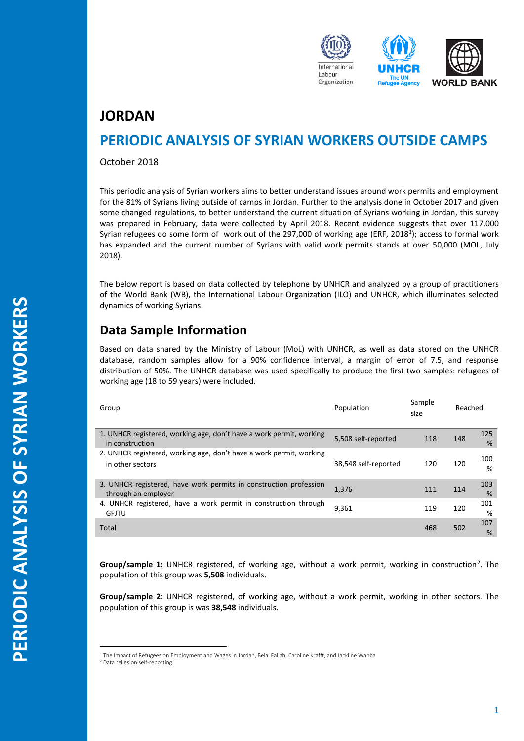

### **JORDAN**

## **PERIODIC ANALYSIS OF SYRIAN WORKERS OUTSIDE CAMPS**

October 2018

This periodic analysis of Syrian workers aims to better understand issues around work permits and employment for the 81% of Syrians living outside of camps in Jordan. Further to the analysis done in October 2017 and given some changed regulations, to better understand the current situation of Syrians working in Jordan, this survey was prepared in February, data were collected by April 2018. Recent evidence suggests that over 117,000 Syrian refugees do some form of work out of the 297,000 of working age (ERF, 2018<sup>1</sup>); access to formal work has expanded and the current number of Syrians with valid work permits stands at over 50,000 (MOL, July 2018).

The below report is based on data collected by telephone by UNHCR and analyzed by a group of practitioners of the World Bank (WB), the International Labour Organization (ILO) and UNHCR, which illuminates selected dynamics of working Syrians.

# **Data Sample Information**

Based on data shared by the Ministry of Labour (MoL) with UNHCR, as well as data stored on the UNHCR database, random samples allow for a 90% confidence interval, a margin of error of 7.5, and response distribution of 50%. The UNHCR database was used specifically to produce the first two samples: refugees of working age (18 to 59 years) were included.

| Group                                                                                    | Population           | Sample<br>size | Reached |          |
|------------------------------------------------------------------------------------------|----------------------|----------------|---------|----------|
| 1. UNHCR registered, working age, don't have a work permit, working<br>in construction   | 5,508 self-reported  | 118            | 148     | 125<br>% |
| 2. UNHCR registered, working age, don't have a work permit, working<br>in other sectors  | 38,548 self-reported | 120            | 120     | 100<br>% |
| 3. UNHCR registered, have work permits in construction profession<br>through an employer | 1,376                | 111            | 114     | 103<br>% |
| 4. UNHCR registered, have a work permit in construction through<br><b>GFJTU</b>          | 9,361                | 119            | 120     | 101<br>% |
| <b>Total</b>                                                                             |                      | 468            | 502     | 107<br>% |

Group/sample 1: UNHCR registered, of working age, without a work permit, working in construction<sup>2</sup>. The population of this group was **5,508** individuals.

**Group/sample 2**: UNHCR registered, of working age, without a work permit, working in other sectors. The population of this group is was **38,548** individuals.

 $\overline{\phantom{a}}$ 

<sup>1</sup> The Impact of Refugees on Employment and Wages in Jordan, Belal Fallah, Caroline Krafft, and Jackline Wahba

<sup>2</sup> Data relies on self-reporting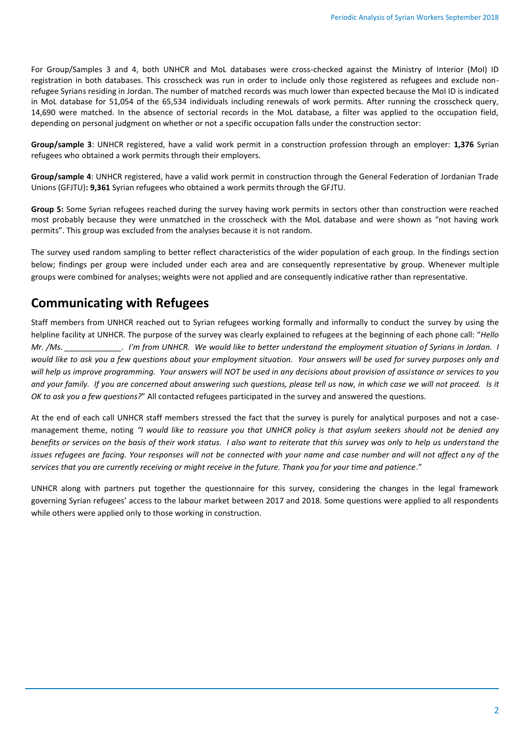For Group/Samples 3 and 4, both UNHCR and MoL databases were cross-checked against the Ministry of Interior (MoI) ID registration in both databases. This crosscheck was run in order to include only those registered as refugees and exclude nonrefugee Syrians residing in Jordan. The number of matched records was much lower than expected because the MoI ID is indicated in MoL database for 51,054 of the 65,534 individuals including renewals of work permits. After running the crosscheck query, 14,690 were matched. In the absence of sectorial records in the MoL database, a filter was applied to the occupation field, depending on personal judgment on whether or not a specific occupation falls under the construction sector:

**Group/sample 3**: UNHCR registered, have a valid work permit in a construction profession through an employer: **1,376** Syrian refugees who obtained a work permits through their employers.

**Group/sample 4**: UNHCR registered, have a valid work permit in construction through the General Federation of Jordanian Trade Unions (GFJTU)**: 9,361** Syrian refugees who obtained a work permits through the GFJTU.

**Group 5:** Some Syrian refugees reached during the survey having work permits in sectors other than construction were reached most probably because they were unmatched in the crosscheck with the MoL database and were shown as "not having work permits". This group was excluded from the analyses because it is not random.

The survey used random sampling to better reflect characteristics of the wider population of each group. In the findings section below; findings per group were included under each area and are consequently representative by group. Whenever multiple groups were combined for analyses; weights were not applied and are consequently indicative rather than representative.

# **Communicating with Refugees**

Staff members from UNHCR reached out to Syrian refugees working formally and informally to conduct the survey by using the helpline facility at UNHCR. The purpose of the survey was clearly explained to refugees at the beginning of each phone call: "*Hello Mr. /Ms. \_\_\_\_\_\_\_\_\_\_\_\_\_. I'm from UNHCR. We would like to better understand the employment situation of Syrians in Jordan. I would like to ask you a few questions about your employment situation. Your answers will be used for survey purposes only and will help us improve programming. Your answers will NOT be used in any decisions about provision of assistance or services to you and your family. If you are concerned about answering such questions, please tell us now, in which case we will not proceed. Is it OK to ask you a few questions?*" All contacted refugees participated in the survey and answered the questions.

At the end of each call UNHCR staff members stressed the fact that the survey is purely for analytical purposes and not a casemanagement theme, noting *"I would like to reassure you that UNHCR policy is that asylum seekers should not be denied any benefits or services on the basis of their work status. I also want to reiterate that this survey was only to help us understand the issues refugees are facing. Your responses will not be connected with your name and case number and will not affect any of the services that you are currently receiving or might receive in the future. Thank you for your time and patience*."

UNHCR along with partners put together the questionnaire for this survey, considering the changes in the legal framework governing Syrian refugees' access to the labour market between 2017 and 2018. Some questions were applied to all respondents while others were applied only to those working in construction.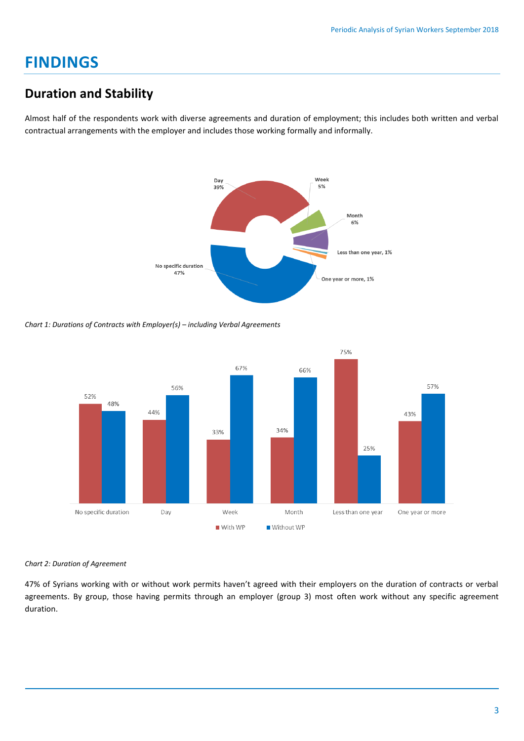# **FINDINGS**

# **Duration and Stability**

Almost half of the respondents work with diverse agreements and duration of employment; this includes both written and verbal contractual arrangements with the employer and includes those working formally and informally.



*Chart 1: Durations of Contracts with Employer(s) – including Verbal Agreements*



#### *Chart 2: Duration of Agreement*

47% of Syrians working with or without work permits haven't agreed with their employers on the duration of contracts or verbal agreements. By group, those having permits through an employer (group 3) most often work without any specific agreement duration.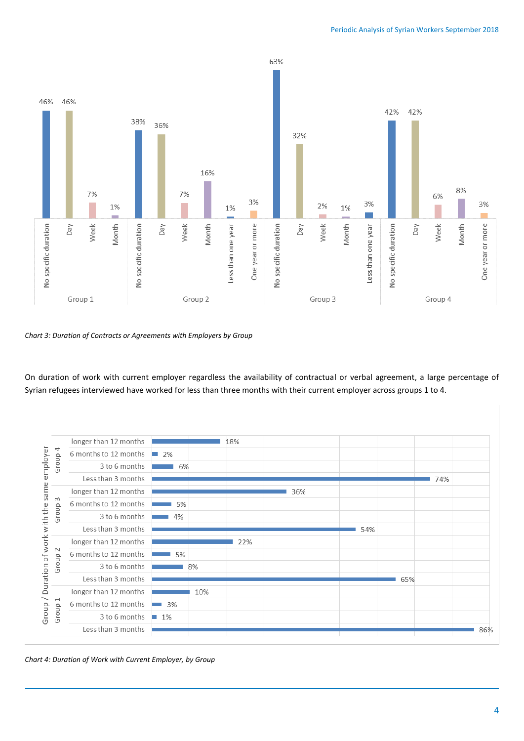

*Chart 3: Duration of Contracts or Agreements with Employers by Group*

On duration of work with current employer regardless the availability of contractual or verbal agreement, a large percentage of Syrian refugees interviewed have worked for less than three months with their current employer across groups 1 to 4.



*Chart 4: Duration of Work with Current Employer, by Group*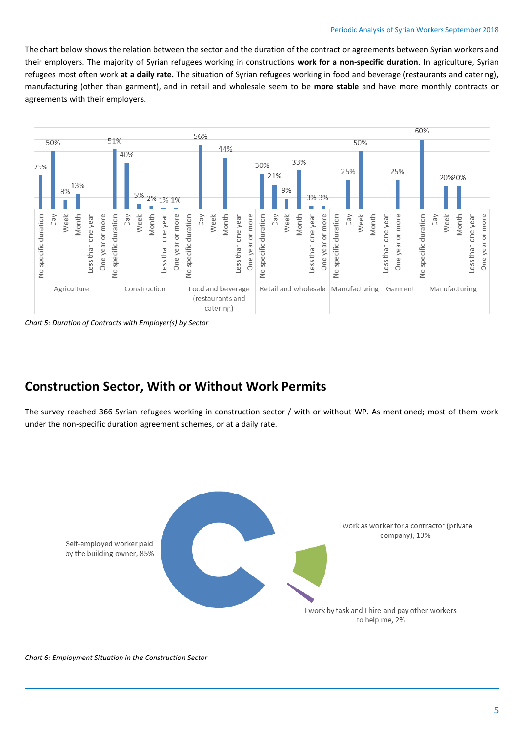#### Periodic Analysis of Syrian Workers September 2018

The chart below shows the relation between the sector and the duration of the contract or agreements between Syrian workers and their employers. The majority of Syrian refugees working in constructions **work for a non-specific duration**. In agriculture, Syrian refugees most often work **at a daily rate.** The situation of Syrian refugees working in food and beverage (restaurants and catering), manufacturing (other than garment), and in retail and wholesale seem to be **more stable** and have more monthly contracts or agreements with their employers.



*Chart 5: Duration of Contracts with Employer(s) by Sector*

### **Construction Sector, With or Without Work Permits**

The survey reached 366 Syrian refugees working in construction sector / with or without WP. As mentioned; most of them work under the non-specific duration agreement schemes, or at a daily rate.



*Chart 6: Employment Situation in the Construction Sector*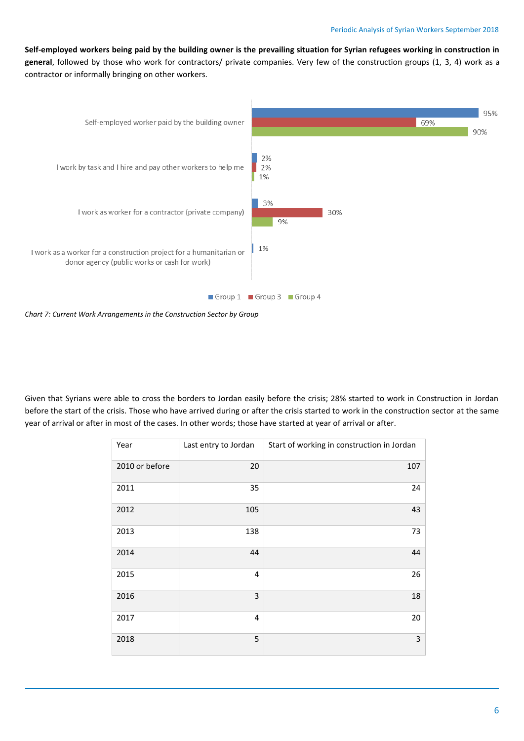**Self-employed workers being paid by the building owner is the prevailing situation for Syrian refugees working in construction in general**, followed by those who work for contractors/ private companies. Very few of the construction groups (1, 3, 4) work as a contractor or informally bringing on other workers.



*Chart 7: Current Work Arrangements in the Construction Sector by Group*

Given that Syrians were able to cross the borders to Jordan easily before the crisis; 28% started to work in Construction in Jordan before the start of the crisis. Those who have arrived during or after the crisis started to work in the construction sector at the same year of arrival or after in most of the cases. In other words; those have started at year of arrival or after.

| Year           | Last entry to Jordan | Start of working in construction in Jordan |
|----------------|----------------------|--------------------------------------------|
| 2010 or before | 20                   | 107                                        |
| 2011           | 35                   | 24                                         |
| 2012           | 105                  | 43                                         |
| 2013           | 138                  | 73                                         |
| 2014           | 44                   | 44                                         |
| 2015           | 4                    | 26                                         |
| 2016           | 3                    | 18                                         |
| 2017           | $\overline{4}$       | 20                                         |
| 2018           | 5                    | 3                                          |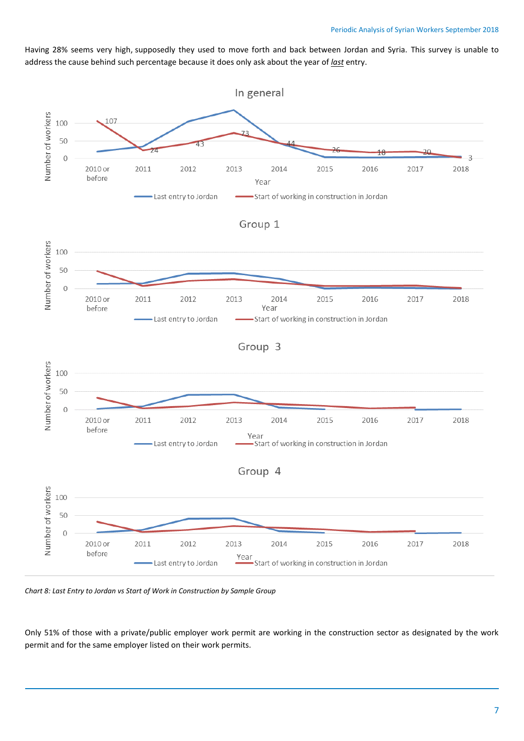Having 28% seems very high, supposedly they used to move forth and back between Jordan and Syria. This survey is unable to address the cause behind such percentage because it does only ask about the year of *last* entry.



*Chart 8: Last Entry to Jordan vs Start of Work in Construction by Sample Group*

Only 51% of those with a private/public employer work permit are working in the construction sector as designated by the work permit and for the same employer listed on their work permits.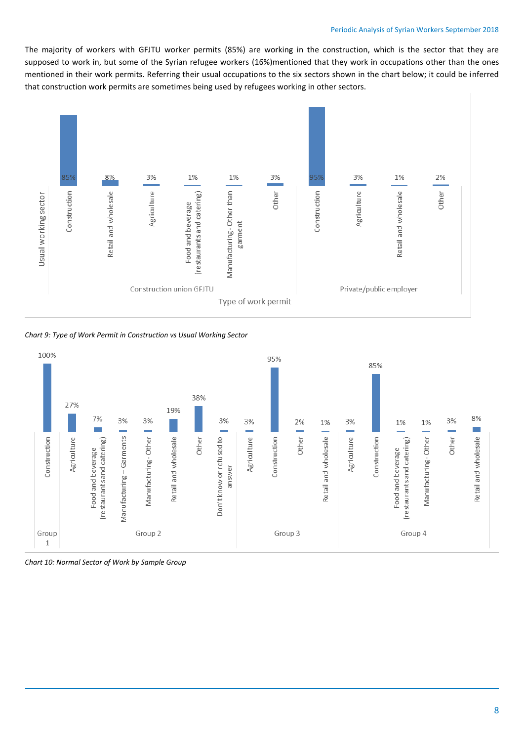The majority of workers with GFJTU worker permits (85%) are working in the construction, which is the sector that they are supposed to work in, but some of the Syrian refugee workers (16%)mentioned that they work in occupations other than the ones mentioned in their work permits. Referring their usual occupations to the six sectors shown in the chart below; it could be inferred that construction work permits are sometimes being used by refugees working in other sectors.



*Chart 9: Type of Work Permit in Construction vs Usual Working Sector*



*Chart 10: Normal Sector of Work by Sample Group*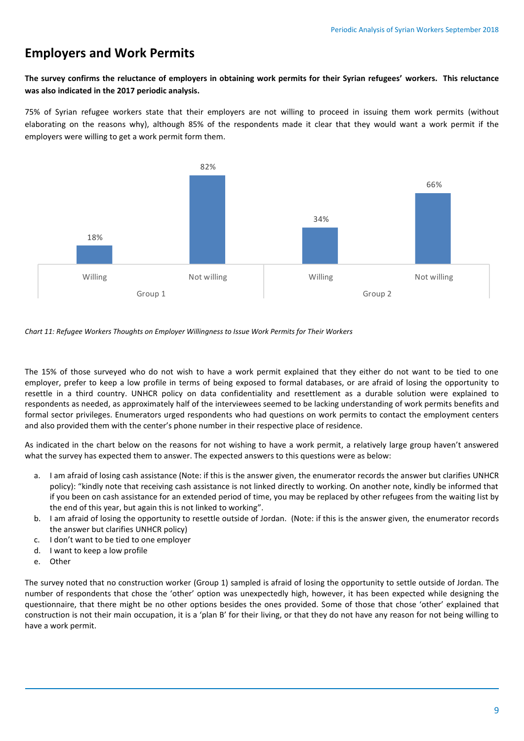### **Employers and Work Permits**

**The survey confirms the reluctance of employers in obtaining work permits for their Syrian refugees' workers. This reluctance was also indicated in the 2017 periodic analysis.** 

75% of Syrian refugee workers state that their employers are not willing to proceed in issuing them work permits (without elaborating on the reasons why), although 85% of the respondents made it clear that they would want a work permit if the employers were willing to get a work permit form them.



*Chart 11: Refugee Workers Thoughts on Employer Willingness to Issue Work Permits for Their Workers*

The 15% of those surveyed who do not wish to have a work permit explained that they either do not want to be tied to one employer, prefer to keep a low profile in terms of being exposed to formal databases, or are afraid of losing the opportunity to resettle in a third country. UNHCR policy on data confidentiality and resettlement as a durable solution were explained to respondents as needed, as approximately half of the interviewees seemed to be lacking understanding of work permits benefits and formal sector privileges. Enumerators urged respondents who had questions on work permits to contact the employment centers and also provided them with the center's phone number in their respective place of residence.

As indicated in the chart below on the reasons for not wishing to have a work permit, a relatively large group haven't answered what the survey has expected them to answer. The expected answers to this questions were as below:

- a. I am afraid of losing cash assistance (Note: if this is the answer given, the enumerator records the answer but clarifies UNHCR policy): "kindly note that receiving cash assistance is not linked directly to working. On another note, kindly be informed that if you been on cash assistance for an extended period of time, you may be replaced by other refugees from the waiting list by the end of this year, but again this is not linked to working".
- b. I am afraid of losing the opportunity to resettle outside of Jordan. (Note: if this is the answer given, the enumerator records the answer but clarifies UNHCR policy)
- c. I don't want to be tied to one employer
- d. I want to keep a low profile
- e. Other

The survey noted that no construction worker (Group 1) sampled is afraid of losing the opportunity to settle outside of Jordan. The number of respondents that chose the 'other' option was unexpectedly high, however, it has been expected while designing the questionnaire, that there might be no other options besides the ones provided. Some of those that chose 'other' explained that construction is not their main occupation, it is a 'plan B' for their living, or that they do not have any reason for not being willing to have a work permit.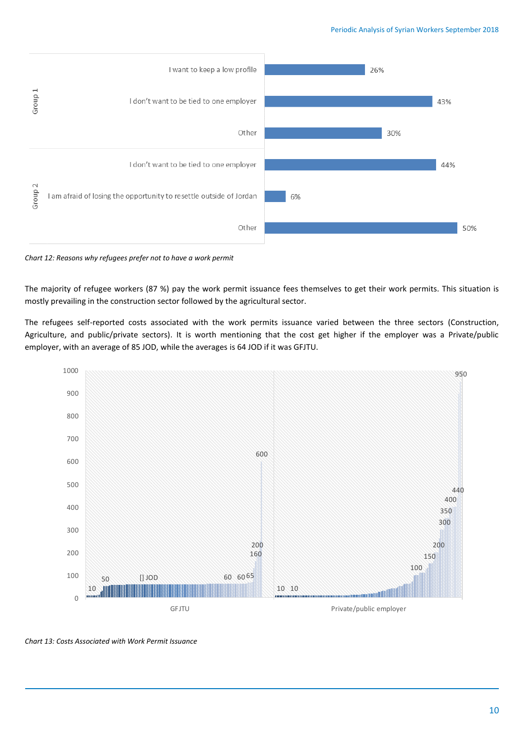

*Chart 12: Reasons why refugees prefer not to have a work permit*

The majority of refugee workers (87 %) pay the work permit issuance fees themselves to get their work permits. This situation is mostly prevailing in the construction sector followed by the agricultural sector.

The refugees self-reported costs associated with the work permits issuance varied between the three sectors (Construction, Agriculture, and public/private sectors). It is worth mentioning that the cost get higher if the employer was a Private/public employer, with an average of 85 JOD, while the averages is 64 JOD if it was GFJTU.



*Chart 13: Costs Associated with Work Permit Issuance*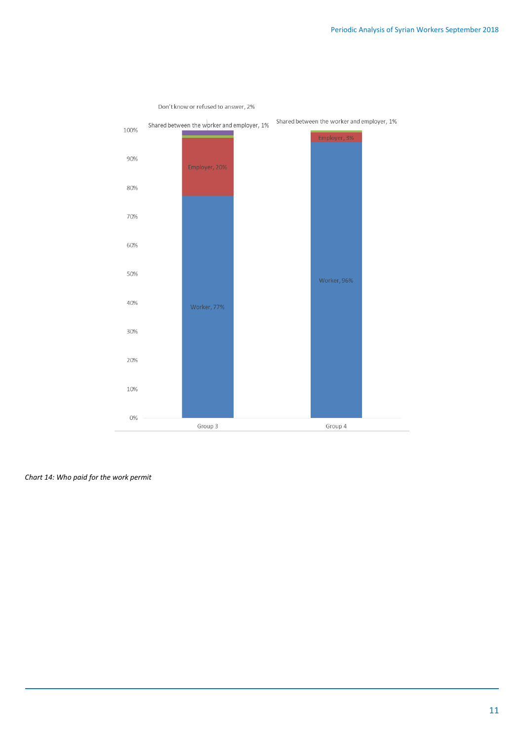

Don't know or refused to answer, 2%

*Chart 14: Who paid for the work permit*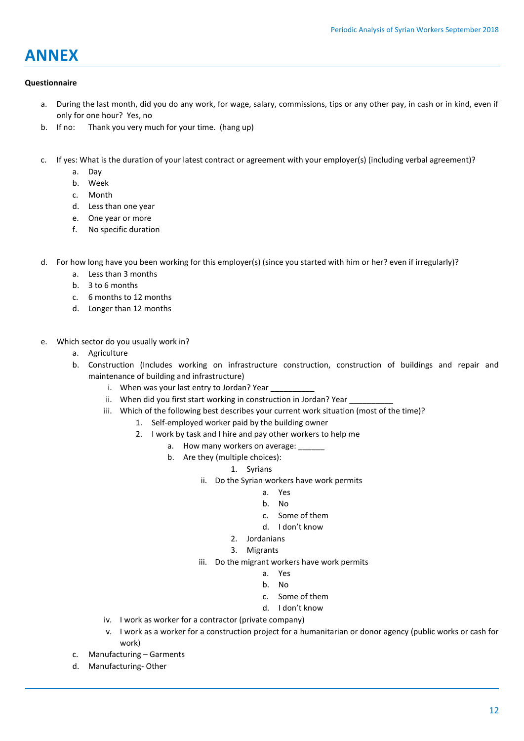# **ANNEX**

#### **Questionnaire**

- a. During the last month, did you do any work, for wage, salary, commissions, tips or any other pay, in cash or in kind, even if only for one hour? Yes, no
- b. If no: Thank you very much for your time. (hang up)
- c. If yes: What is the duration of your latest contract or agreement with your employer(s) (including verbal agreement)?
	- a. Day
	- b. Week
	- c. Month
	- d. Less than one year
	- e. One year or more
	- f. No specific duration
- d. For how long have you been working for this employer(s) (since you started with him or her? even if irregularly)?
	- a. Less than 3 months
	- b. 3 to 6 months
	- c. 6 months to 12 months
	- d. Longer than 12 months
- e. Which sector do you usually work in?
	- a. Agriculture
	- b. Construction (Includes working on infrastructure construction, construction of buildings and repair and maintenance of building and infrastructure)
		- i. When was your last entry to Jordan? Year
		- ii. When did you first start working in construction in Jordan? Year
		- iii. Which of the following best describes your current work situation (most of the time)?
			- 1. Self-employed worker paid by the building owner
			- 2. I work by task and I hire and pay other workers to help me
				- a. How many workers on average:
					- b. Are they (multiple choices):
						- 1. Syrians
						- ii. Do the Syrian workers have work permits
							- a. Yes
							- b. No
							- c. Some of them
							- d. I don't know
							- 2. Jordanians
							- 3. Migrants
						- iii. Do the migrant workers have work permits
							- a. Yes
							- b. No
							- c. Some of them
							- d. I don't know
		- iv. I work as worker for a contractor (private company)
		- v. I work as a worker for a construction project for a humanitarian or donor agency (public works or cash for work)
	- c. Manufacturing Garments
	- d. Manufacturing- Other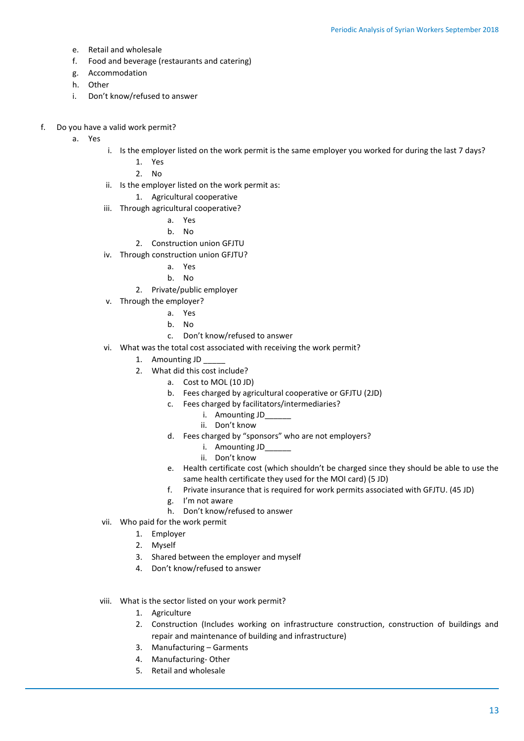- e. Retail and wholesale
- f. Food and beverage (restaurants and catering)
- g. Accommodation
- h. Other
- i. Don't know/refused to answer
- f. Do you have a valid work permit?
	- a. Yes
- i. Is the employer listed on the work permit is the same employer you worked for during the last 7 days?
	- 1. Yes
	- 2. No
- ii. Is the employer listed on the work permit as:
	- 1. Agricultural cooperative
- iii. Through agricultural cooperative?

a. Yes

- b. No
- 2. Construction union GFJTU
- iv. Through construction union GFJTU?
	- a. Yes
	- b. No
	- 2. Private/public employer
- v. Through the employer?
	- a. Yes
	- b. No
	- c. Don't know/refused to answer
- vi. What was the total cost associated with receiving the work permit?
	- 1. Amounting JD \_\_\_
	- 2. What did this cost include?
		- a. Cost to MOL (10 JD)
		- b. Fees charged by agricultural cooperative or GFJTU (2JD)
		- c. Fees charged by facilitators/intermediaries?
			- i. Amounting JD
			- ii. Don't know
		- d. Fees charged by "sponsors" who are not employers?
			- i. Amounting JD
			- ii. Don't know
		- e. Health certificate cost (which shouldn't be charged since they should be able to use the same health certificate they used for the MOI card) (5 JD)
		- f. Private insurance that is required for work permits associated with GFJTU. (45 JD)
		- g. I'm not aware
		- h. Don't know/refused to answer
- vii. Who paid for the work permit
	- 1. Employer
	- 2. Myself
	- 3. Shared between the employer and myself
	- 4. Don't know/refused to answer
- viii. What is the sector listed on your work permit?
	- 1. Agriculture
	- 2. Construction (Includes working on infrastructure construction, construction of buildings and repair and maintenance of building and infrastructure)
	- 3. Manufacturing Garments
	- 4. Manufacturing- Other
	- 5. Retail and wholesale